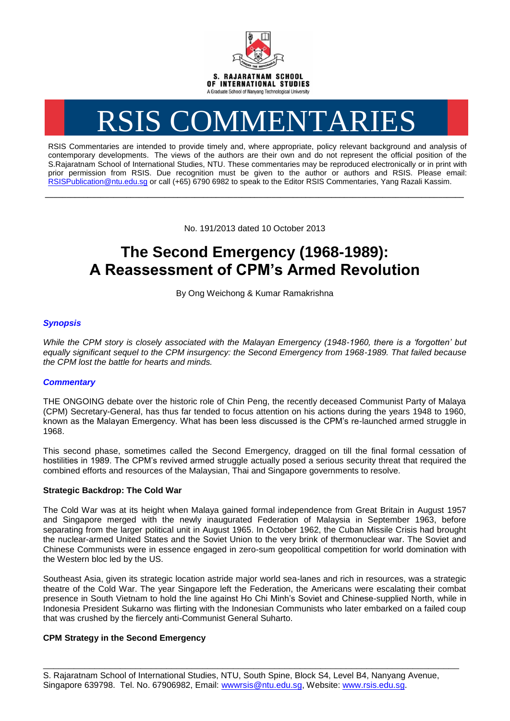

# RSIS COMMENTARIES

RSIS Commentaries are intended to provide timely and, where appropriate, policy relevant background and analysis of contemporary developments. The views of the authors are their own and do not represent the official position of the S.Rajaratnam School of International Studies, NTU. These commentaries may be reproduced electronically or in print with prior permission from RSIS. Due recognition must be given to the author or authors and RSIS. Please email: [RSISPublication@ntu.edu.sg](mailto:RSISPublication@ntu.edu.sg) or call (+65) 6790 6982 to speak to the Editor RSIS Commentaries, Yang Razali Kassim.

No. 191/2013 dated 10 October 2013

**\_\_\_\_\_\_\_\_\_\_\_\_\_\_\_\_\_\_\_\_\_\_\_\_\_\_\_\_\_\_\_\_\_\_\_\_\_\_\_\_\_\_\_\_\_\_\_\_\_\_\_\_\_\_\_\_\_\_\_\_\_\_\_\_\_\_\_\_\_\_\_\_\_\_\_\_\_\_\_\_\_\_\_\_\_\_\_\_\_\_\_\_\_\_\_\_\_\_**

## **The Second Emergency (1968-1989): A Reassessment of CPM's Armed Revolution**

By Ong Weichong & Kumar Ramakrishna

### *Synopsis*

*While the CPM story is closely associated with the Malayan Emergency (1948-1960, there is a 'forgotten' but equally significant sequel to the CPM insurgency: the Second Emergency from 1968-1989. That failed because the CPM lost the battle for hearts and minds.*

#### *Commentary*

THE ONGOING debate over the historic role of Chin Peng, the recently deceased Communist Party of Malaya (CPM) Secretary-General, has thus far tended to focus attention on his actions during the years 1948 to 1960, known as the Malayan Emergency. What has been less discussed is the CPM's re-launched armed struggle in 1968.

This second phase, sometimes called the Second Emergency, dragged on till the final formal cessation of hostilities in 1989. The CPM's revived armed struggle actually posed a serious security threat that required the combined efforts and resources of the Malaysian, Thai and Singapore governments to resolve.

#### **Strategic Backdrop: The Cold War**

The Cold War was at its height when Malaya gained formal independence from Great Britain in August 1957 and Singapore merged with the newly inaugurated Federation of Malaysia in September 1963, before separating from the larger political unit in August 1965. In October 1962, the Cuban Missile Crisis had brought the nuclear-armed United States and the Soviet Union to the very brink of thermonuclear war. The Soviet and Chinese Communists were in essence engaged in zero-sum geopolitical competition for world domination with the Western bloc led by the US.

Southeast Asia, given its strategic location astride major world sea-lanes and rich in resources, was a strategic theatre of the Cold War. The year Singapore left the Federation, the Americans were escalating their combat presence in South Vietnam to hold the line against Ho Chi Minh's Soviet and Chinese-supplied North, while in Indonesia President Sukarno was flirting with the Indonesian Communists who later embarked on a failed coup that was crushed by the fiercely anti-Communist General Suharto.

#### **CPM Strategy in the Second Emergency**

\_\_\_\_\_\_\_\_\_\_\_\_\_\_\_\_\_\_\_\_\_\_\_\_\_\_\_\_\_\_\_\_\_\_\_\_\_\_\_\_\_\_\_\_\_\_\_\_\_\_\_\_\_\_\_\_\_\_\_\_\_\_\_\_\_\_\_\_\_\_\_\_\_\_\_\_\_\_\_\_\_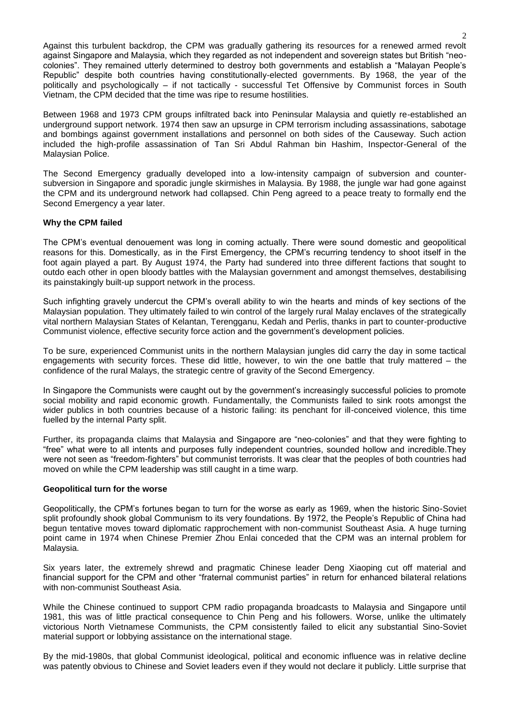Against this turbulent backdrop, the CPM was gradually gathering its resources for a renewed armed revolt against Singapore and Malaysia, which they regarded as not independent and sovereign states but British "neocolonies". They remained utterly determined to destroy both governments and establish a "Malayan People's Republic" despite both countries having constitutionally-elected governments. By 1968, the year of the politically and psychologically – if not tactically - successful Tet Offensive by Communist forces in South Vietnam, the CPM decided that the time was ripe to resume hostilities.

Between 1968 and 1973 CPM groups infiltrated back into Peninsular Malaysia and quietly re-established an underground support network. 1974 then saw an upsurge in CPM terrorism including assassinations, sabotage and bombings against government installations and personnel on both sides of the Causeway. Such action included the high-profile assassination of Tan Sri Abdul Rahman bin Hashim, Inspector-General of the Malaysian Police.

The Second Emergency gradually developed into a low-intensity campaign of subversion and countersubversion in Singapore and sporadic jungle skirmishes in Malaysia. By 1988, the jungle war had gone against the CPM and its underground network had collapsed. Chin Peng agreed to a peace treaty to formally end the Second Emergency a year later.

#### **Why the CPM failed**

The CPM's eventual denouement was long in coming actually. There were sound domestic and geopolitical reasons for this. Domestically, as in the First Emergency, the CPM's recurring tendency to shoot itself in the foot again played a part. By August 1974, the Party had sundered into three different factions that sought to outdo each other in open bloody battles with the Malaysian government and amongst themselves, destabilising its painstakingly built-up support network in the process.

Such infighting gravely undercut the CPM's overall ability to win the hearts and minds of key sections of the Malaysian population. They ultimately failed to win control of the largely rural Malay enclaves of the strategically vital northern Malaysian States of Kelantan, Terengganu, Kedah and Perlis, thanks in part to counter-productive Communist violence, effective security force action and the government's development policies.

To be sure, experienced Communist units in the northern Malaysian jungles did carry the day in some tactical engagements with security forces. These did little, however, to win the one battle that truly mattered – the confidence of the rural Malays, the strategic centre of gravity of the Second Emergency.

In Singapore the Communists were caught out by the government's increasingly successful policies to promote social mobility and rapid economic growth. Fundamentally, the Communists failed to sink roots amongst the wider publics in both countries because of a historic failing: its penchant for ill-conceived violence, this time fuelled by the internal Party split.

Further, its propaganda claims that Malaysia and Singapore are "neo-colonies" and that they were fighting to "free" what were to all intents and purposes fully independent countries, sounded hollow and incredible.They were not seen as "freedom-fighters" but communist terrorists. It was clear that the peoples of both countries had moved on while the CPM leadership was still caught in a time warp.

#### **Geopolitical turn for the worse**

Geopolitically, the CPM's fortunes began to turn for the worse as early as 1969, when the historic Sino-Soviet split profoundly shook global Communism to its very foundations. By 1972, the People's Republic of China had begun tentative moves toward diplomatic rapprochement with non-communist Southeast Asia. A huge turning point came in 1974 when Chinese Premier Zhou Enlai conceded that the CPM was an internal problem for Malaysia.

Six years later, the extremely shrewd and pragmatic Chinese leader Deng Xiaoping cut off material and financial support for the CPM and other "fraternal communist parties" in return for enhanced bilateral relations with non-communist Southeast Asia.

While the Chinese continued to support CPM radio propaganda broadcasts to Malaysia and Singapore until 1981, this was of little practical consequence to Chin Peng and his followers. Worse, unlike the ultimately victorious North Vietnamese Communists, the CPM consistently failed to elicit any substantial Sino-Soviet material support or lobbying assistance on the international stage.

By the mid-1980s, that global Communist ideological, political and economic influence was in relative decline was patently obvious to Chinese and Soviet leaders even if they would not declare it publicly. Little surprise that